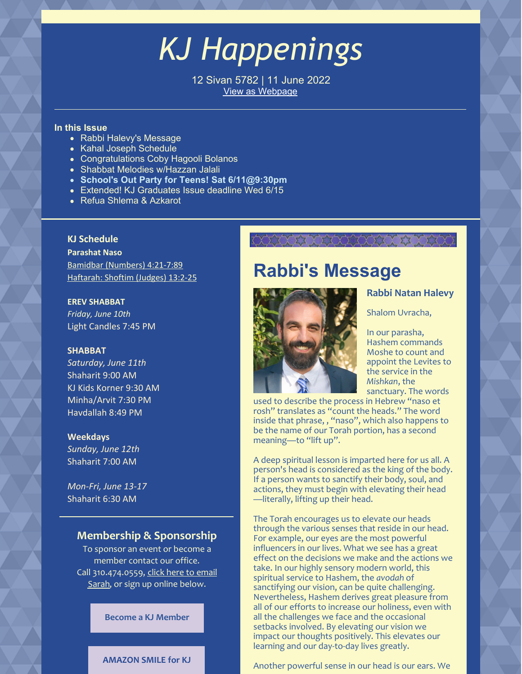## *KJ Happenings*

12 Sivan 5782 | 11 June 2022 View as [Webpage](https://campaignlp.constantcontact.com/em/1101521746827/8030cb64-98d4-42a5-ae31-1c9d2dcfdd1a)

#### **In this Issue**

- Rabbi Halevy's Message
- Kahal Joseph Schedule
- Congratulations Coby Hagooli Bolanos
- Shabbat Melodies w/Hazzan Jalali
- **School's Out Party for Teens! Sat 6/11@9:30pm**
- Extended! KJ Graduates Issue deadline Wed 6/15
- Refua Shlema & Azkarot

## **KJ Schedule**

**Parashat Naso** Bamidbar [\(Numbers\)](https://www.chabad.org/parshah/torahreading.asp?tdate=6/11/2022&p=1) 4:21-7:89 [Haftarah:](https://www.chabad.org/parshah/torahreading.asp?tdate=6/11/2022&p=haftarah) Shoftim (Judges) 13:2-25

#### **EREV SHABBAT**

*Friday, June 10th* Light Candles 7:45 PM

### **SHABBAT**

*Saturday, June 11th* Shaharit 9:00 AM KJ Kids Korner 9:30 AM Minha/Arvit 7:30 PM Havdallah 8:49 PM

#### **Weekdays**

*Sunday, June 12th* Shaharit 7:00 AM

*Mon-Fri, June 13-17* Shaharit 6:30 AM

## **Membership & Sponsorship**

To sponsor an event or become a member contact our office. Call [310.474.0559,](mailto:sarah_bouchoucha@verizon.net) click here to email Sarah, or sign up online below.

**Become a KJ [Member](https://www.kahaljoseph.org/join/online-membership-form/)**

### **[AMAZON](http://smile.amazon.com/ch/95-3368311) SMILE for KJ**

## **Rabbi's Message**

XXXXXXXXXXXXXXXXXXX



## **Rabbi Natan Halevy**

Shalom Uvracha,

In our parasha, Hashem commands Moshe to count and appoint the Levites to the service in the *Mishkan*, the sanctuary. The words

used to describe the process in Hebrew "naso et rosh" translates as "count the heads." The word inside that phrase, , "naso", which also happens to be the name of our Torah portion, has a second meaning—to "lift up".

A deep spiritual lesson is imparted here for us all. A person's head is considered as the king of the body. If a person wants to sanctify their body, soul, and actions, they must begin with elevating their head —literally, lifting up their head.

The Torah encourages us to elevate our heads through the various senses that reside in our head. For example, our eyes are the most powerful influencers in our lives. What we see has a great effect on the decisions we make and the actions we take. In our highly sensory modern world, this spiritual service to Hashem, the *avodah* of sanctifying our vision, can be quite challenging. Nevertheless, Hashem derives great pleasure from all of our efforts to increase our holiness, even with all the challenges we face and the occasional setbacks involved. By elevating our vision we impact our thoughts positively. This elevates our learning and our day-to-day lives greatly.

Another powerful sense in our head is our ears. We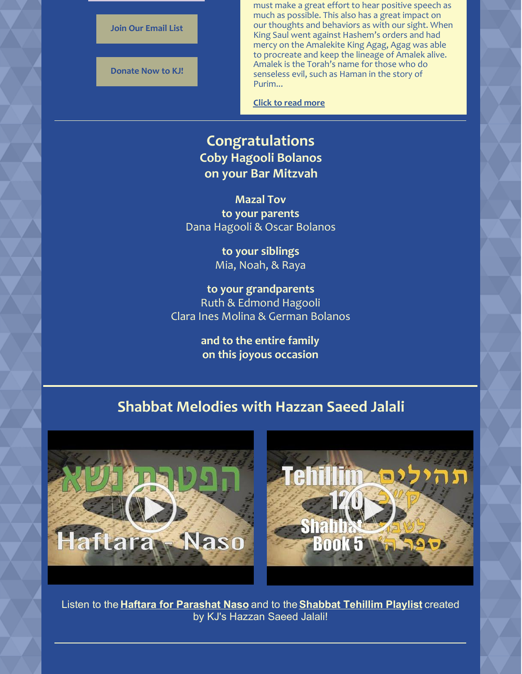

must make a great effort to hear positive speech as much as possible. This also has a great impact on our thoughts and behaviors as with our sight. When King Saul went against Hashem's orders and had mercy on the Amalekite King Agag, Agag was able to procreate and keep the lineage of Amalek alive. Amalek is the Torah's name for those who do senseless evil, such as Haman in the story of Purim...

**Click to read [more](https://www.kahaljoseph.org/learning/rabbis-message/)**

## **Congratulations Coby Hagooli Bolanos on your Bar Mitzvah**

**Mazal Tov to your parents** Dana Hagooli & Oscar Bolanos

> **to your siblings** Mia, Noah, & Raya

**to your grandparents** Ruth & Edmond Hagooli Clara Ines Molina & German Bolanos

> **and to the entire family on this joyous occasion**

## **Shabbat Melodies with Hazzan Saeed Jalali**





Listen to the **Haftara for [Parashat](https://youtu.be/q3wt8wgbN58) Naso** and to the**[Shabbat](https://www.youtube.com/playlist?list=PLPfhenMpEqQUikK5Lrj_QIG3NAgaEo29D) Tehillim Playlist** created by KJ's Hazzan Saeed Jalali!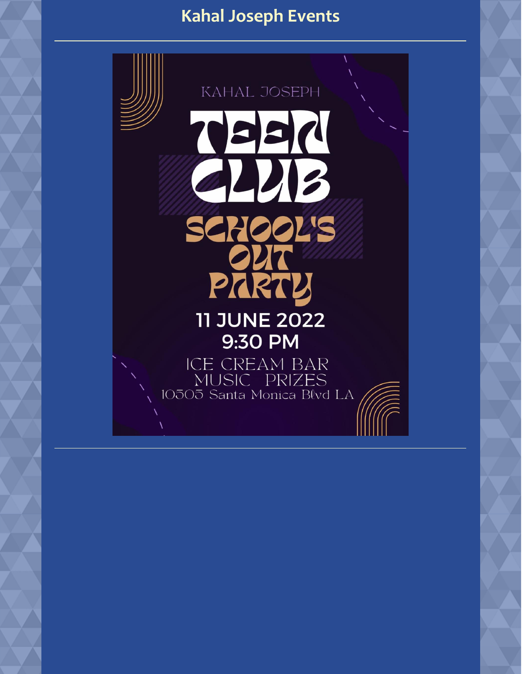## **Kahal Joseph Events**

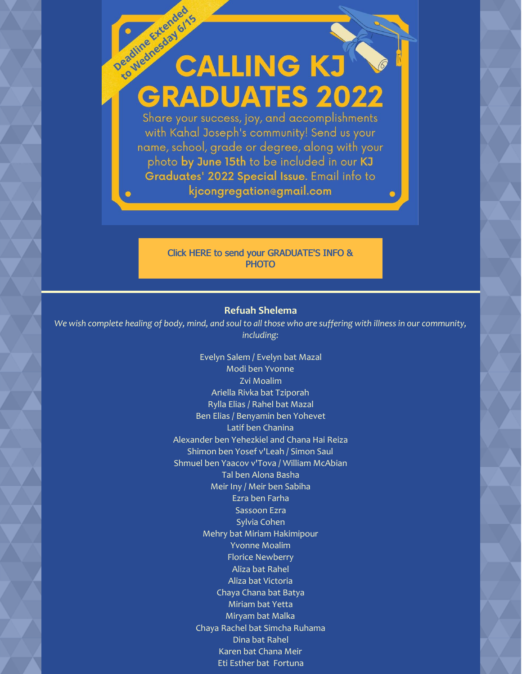# Deadline Extended **CALLING KJ GRADUATES 2022**

Share your success, joy, and accomplishments with Kahal Joseph's community! Send us your name, school, grade or degree, along with your photo by June 15th to be included in our KJ Graduates' 2022 Special Issue. Email info to kjcongregationegmail.com

## Click HERE to send your [GRADUATE'S](mailto:kjcongregation@gmail.com) INFO & **PHOTO**

## **Refuah Shelema**

We wish complete healing of body, mind, and soul to all those who are suffering with illness in our community, *including:*

> Evelyn Salem / Evelyn bat Mazal Modi ben Yvonne Zvi Moalim Ariella Rivka bat Tziporah Rylla Elias / Rahel bat Mazal Ben Elias / Benyamin ben Yohevet Latif ben Chanina Alexander ben Yehezkiel and Chana Hai Reiza Shimon ben Yosef v'Leah / Simon Saul Shmuel ben Yaacov v'Tova / William McAbian Tal ben Alona Basha Meir Iny / Meir ben Sabiha Ezra ben Farha Sassoon Ezra Sylvia Cohen Mehry bat Miriam Hakimipour Yvonne Moalim Florice Newberry Aliza bat Rahel Aliza bat Victoria Chaya Chana bat Batya Miriam bat Yetta Miryam bat Malka Chaya Rachel bat Simcha Ruhama Dina bat Rahel Karen bat Chana Meir Eti Esther bat Fortuna